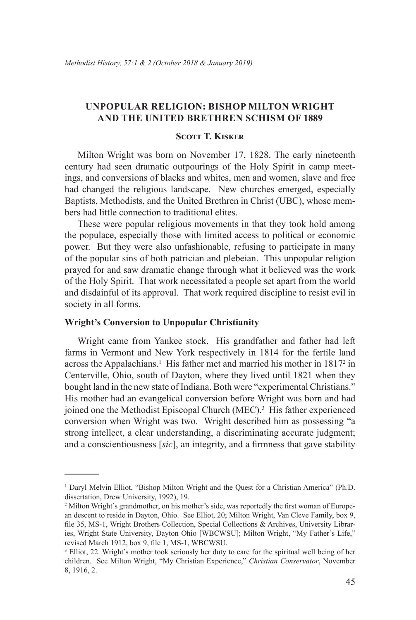# **Unpopular Religion: Bishop Milton Wright and the United Brethren Schism of 1889**

## **Scott T. Kisker**

Milton Wright was born on November 17, 1828. The early nineteenth century had seen dramatic outpourings of the Holy Spirit in camp meetings, and conversions of blacks and whites, men and women, slave and free had changed the religious landscape. New churches emerged, especially Baptists, Methodists, and the United Brethren in Christ (UBC), whose members had little connection to traditional elites.

These were popular religious movements in that they took hold among the populace, especially those with limited access to political or economic power. But they were also unfashionable, refusing to participate in many of the popular sins of both patrician and plebeian. This unpopular religion prayed for and saw dramatic change through what it believed was the work of the Holy Spirit. That work necessitated a people set apart from the world and disdainful of its approval. That work required discipline to resist evil in society in all forms.

## **Wright's Conversion to Unpopular Christianity**

Wright came from Yankee stock. His grandfather and father had left farms in Vermont and New York respectively in 1814 for the fertile land across the Appalachians.<sup>1</sup> His father met and married his mother in 1817<sup>2</sup> in Centerville, Ohio, south of Dayton, where they lived until 1821 when they bought land in the new state of Indiana. Both were "experimental Christians." His mother had an evangelical conversion before Wright was born and had joined one the Methodist Episcopal Church (MEC).<sup>3</sup> His father experienced conversion when Wright was two. Wright described him as possessing "a strong intellect, a clear understanding, a discriminating accurate judgment; and a conscientiousness [*sic*], an integrity, and a firmness that gave stability

<sup>&</sup>lt;sup>1</sup> Daryl Melvin Elliot, "Bishop Milton Wright and the Quest for a Christian America" (Ph.D. dissertation, Drew University, 1992), 19.

<sup>&</sup>lt;sup>2</sup> Milton Wright's grandmother, on his mother's side, was reportedly the first woman of European descent to reside in Dayton, Ohio. See Elliot, 20; Milton Wright, Van Cleve Family, box 9, file 35, MS-1, Wright Brothers Collection, Special Collections & Archives, University Libraries, Wright State University, Dayton Ohio [WBCWSU]; Milton Wright, "My Father's Life," revised March 1912, box 9, file 1, MS-1, WBCWSU.

<sup>&</sup>lt;sup>3</sup> Elliot, 22. Wright's mother took seriously her duty to care for the spiritual well being of her children. See Milton Wright, "My Christian Experience," *Christian Conservator*, November 8, 1916, 2.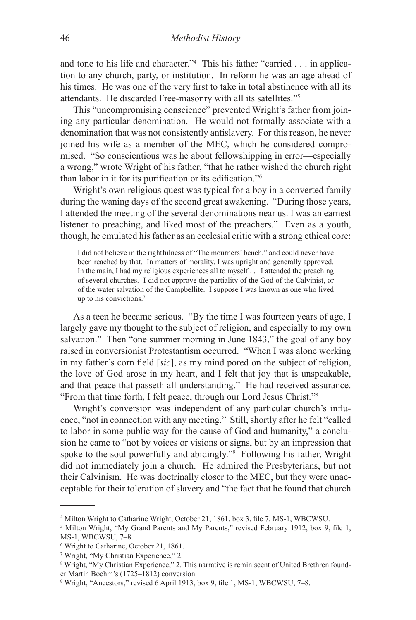and tone to his life and character."4 This his father "carried . . . in application to any church, party, or institution. In reform he was an age ahead of his times. He was one of the very first to take in total abstinence with all its attendants. He discarded Free-masonry with all its satellites."5

This "uncompromising conscience" prevented Wright's father from joining any particular denomination. He would not formally associate with a denomination that was not consistently antislavery. For this reason, he never joined his wife as a member of the MEC, which he considered compromised. "So conscientious was he about fellowshipping in error—especially a wrong," wrote Wright of his father, "that he rather wished the church right than labor in it for its purification or its edification."<sup>6</sup>

Wright's own religious quest was typical for a boy in a converted family during the waning days of the second great awakening. "During those years, I attended the meeting of the several denominations near us. I was an earnest listener to preaching, and liked most of the preachers." Even as a youth, though, he emulated his father as an ecclesial critic with a strong ethical core:

I did not believe in the rightfulness of "The mourners' bench," and could never have been reached by that. In matters of morality, I was upright and generally approved. In the main, I had my religious experiences all to myself . . . I attended the preaching of several churches. I did not approve the partiality of the God of the Calvinist, or of the water salvation of the Campbellite. I suppose I was known as one who lived up to his convictions.7

As a teen he became serious. "By the time I was fourteen years of age, I largely gave my thought to the subject of religion, and especially to my own salvation." Then "one summer morning in June 1843," the goal of any boy raised in conversionist Protestantism occurred. "When I was alone working in my father's corn field [*sic*], as my mind pored on the subject of religion, the love of God arose in my heart, and I felt that joy that is unspeakable, and that peace that passeth all understanding." He had received assurance. "From that time forth, I felt peace, through our Lord Jesus Christ."<sup>8</sup>

Wright's conversion was independent of any particular church's influence, "not in connection with any meeting." Still, shortly after he felt "called to labor in some public way for the cause of God and humanity," a conclusion he came to "not by voices or visions or signs, but by an impression that spoke to the soul powerfully and abidingly."<sup>9</sup> Following his father, Wright did not immediately join a church. He admired the Presbyterians, but not their Calvinism. He was doctrinally closer to the MEC, but they were unacceptable for their toleration of slavery and "the fact that he found that church

<sup>4</sup> Milton Wright to Catharine Wright, October 21, 1861, box 3, file 7, MS-1, WBCWSU.

<sup>&</sup>lt;sup>5</sup> Milton Wright, "My Grand Parents and My Parents," revised February 1912, box 9, file 1, MS-1, WBCWSU, 7–8.

<sup>6</sup> Wright to Catharine, October 21, 1861.

<sup>7</sup> Wright, "My Christian Experience," 2.

<sup>8</sup> Wright, "My Christian Experience," 2. This narrative is reminiscent of United Brethren founder Martin Boehm's (1725–1812) conversion.

<sup>9</sup> Wright, "Ancestors," revised 6 April 1913, box 9, file 1, MS-1, WBCWSU, 7–8.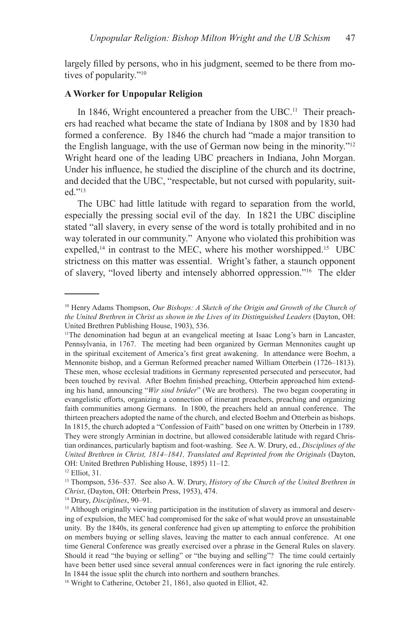largely filled by persons, who in his judgment, seemed to be there from motives of popularity."<sup>10</sup>

### **A Worker for Unpopular Religion**

In 1846, Wright encountered a preacher from the UBC.<sup>11</sup> Their preachers had reached what became the state of Indiana by 1808 and by 1830 had formed a conference. By 1846 the church had "made a major transition to the English language, with the use of German now being in the minority."<sup>12</sup> Wright heard one of the leading UBC preachers in Indiana, John Morgan. Under his influence, he studied the discipline of the church and its doctrine, and decided that the UBC, "respectable, but not cursed with popularity, suited."<sup>13</sup>

The UBC had little latitude with regard to separation from the world, especially the pressing social evil of the day. In 1821 the UBC discipline stated "all slavery, in every sense of the word is totally prohibited and in no way tolerated in our community." Anyone who violated this prohibition was expelled, $14$  in contrast to the MEC, where his mother worshipped.<sup>15</sup> UBC strictness on this matter was essential. Wright's father, a staunch opponent of slavery, "loved liberty and intensely abhorred oppression."<sup>16</sup> The elder

14 Drury, *Disciplines*, 90–91.

<sup>&</sup>lt;sup>10</sup> Henry Adams Thompson, *Our Bishops: A Sketch of the Origin and Growth of the Church of the United Brethren in Christ as shown in the Lives of its Distinguished Leaders* (Dayton, OH: United Brethren Publishing House, 1903), 536.

<sup>11</sup>The denomination had begun at an evangelical meeting at Isaac Long's barn in Lancaster, Pennsylvania, in 1767. The meeting had been organized by German Mennonites caught up in the spiritual excitement of America's first great awakening. In attendance were Boehm, a Mennonite bishop, and a German Reformed preacher named William Otterbein (1726–1813). These men, whose ecclesial traditions in Germany represented persecuted and persecutor, had been touched by revival. After Boehm finished preaching, Otterbein approached him extending his hand, announcing "*Wir sind brüder*" (We are brothers). The two began cooperating in evangelistic efforts, organizing a connection of itinerant preachers, preaching and organizing faith communities among Germans. In 1800, the preachers held an annual conference. The thirteen preachers adopted the name of the church, and elected Boehm and Otterbein as bishops. In 1815, the church adopted a "Confession of Faith" based on one written by Otterbein in 1789. They were strongly Arminian in doctrine, but allowed considerable latitude with regard Christian ordinances, particularly baptism and foot-washing. See A. W. Drury, ed., *Disciplines of the United Brethren in Christ, 1814–1841, Translated and Reprinted from the Originals* (Dayton, OH: United Brethren Publishing House, 1895) 11–12.

<sup>12</sup> Elliot, 31.

<sup>13</sup> Thompson, 536–537. See also A. W. Drury, *History of the Church of the United Brethren in Christ*, (Dayton, OH: Otterbein Press, 1953), 474.

<sup>&</sup>lt;sup>15</sup> Although originally viewing participation in the institution of slavery as immoral and deserving of expulsion, the MEC had compromised for the sake of what would prove an unsustainable unity. By the 1840s, its general conference had given up attempting to enforce the prohibition on members buying or selling slaves, leaving the matter to each annual conference. At one time General Conference was greatly exercised over a phrase in the General Rules on slavery. Should it read "the buying or selling" or "the buying and selling"? The time could certainly have been better used since several annual conferences were in fact ignoring the rule entirely. In 1844 the issue split the church into northern and southern branches.

<sup>&</sup>lt;sup>16</sup> Wright to Catherine, October 21, 1861, also quoted in Elliot, 42.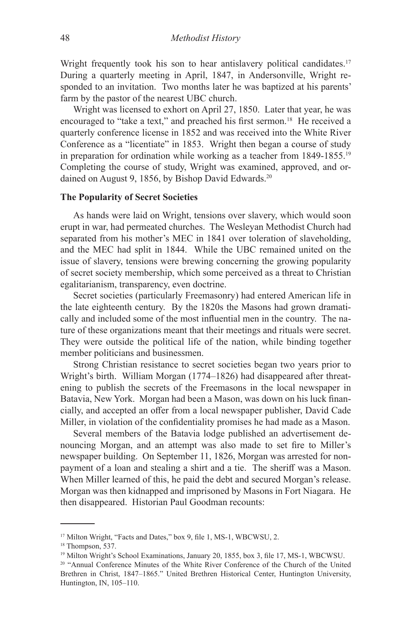Wright frequently took his son to hear antislavery political candidates.<sup>17</sup> During a quarterly meeting in April, 1847, in Andersonville, Wright responded to an invitation. Two months later he was baptized at his parents' farm by the pastor of the nearest UBC church.

Wright was licensed to exhort on April 27, 1850. Later that year, he was encouraged to "take a text," and preached his first sermon.<sup>18</sup> He received a quarterly conference license in 1852 and was received into the White River Conference as a "licentiate" in 1853. Wright then began a course of study in preparation for ordination while working as a teacher from 1849-1855.<sup>19</sup> Completing the course of study, Wright was examined, approved, and ordained on August 9, 1856, by Bishop David Edwards.<sup>20</sup>

### **The Popularity of Secret Societies**

As hands were laid on Wright, tensions over slavery, which would soon erupt in war, had permeated churches. The Wesleyan Methodist Church had separated from his mother's MEC in 1841 over toleration of slaveholding, and the MEC had split in 1844. While the UBC remained united on the issue of slavery, tensions were brewing concerning the growing popularity of secret society membership, which some perceived as a threat to Christian egalitarianism, transparency, even doctrine.

Secret societies (particularly Freemasonry) had entered American life in the late eighteenth century. By the 1820s the Masons had grown dramatically and included some of the most influential men in the country. The nature of these organizations meant that their meetings and rituals were secret. They were outside the political life of the nation, while binding together member politicians and businessmen.

Strong Christian resistance to secret societies began two years prior to Wright's birth. William Morgan (1774–1826) had disappeared after threatening to publish the secrets of the Freemasons in the local newspaper in Batavia, New York. Morgan had been a Mason, was down on his luck financially, and accepted an offer from a local newspaper publisher, David Cade Miller, in violation of the confidentiality promises he had made as a Mason.

Several members of the Batavia lodge published an advertisement denouncing Morgan, and an attempt was also made to set fire to Miller's newspaper building. On September 11, 1826, Morgan was arrested for nonpayment of a loan and stealing a shirt and a tie. The sheriff was a Mason. When Miller learned of this, he paid the debt and secured Morgan's release. Morgan was then kidnapped and imprisoned by Masons in Fort Niagara. He then disappeared. Historian Paul Goodman recounts:

<sup>&</sup>lt;sup>17</sup> Milton Wright, "Facts and Dates," box 9, file 1, MS-1, WBCWSU, 2.

<sup>&</sup>lt;sup>18</sup> Thompson, 537.

<sup>&</sup>lt;sup>19</sup> Milton Wright's School Examinations, January 20, 1855, box 3, file 17, MS-1, WBCWSU.

<sup>20</sup> "Annual Conference Minutes of the White River Conference of the Church of the United Brethren in Christ, 1847–1865." United Brethren Historical Center, Huntington University, Huntington, IN, 105–110.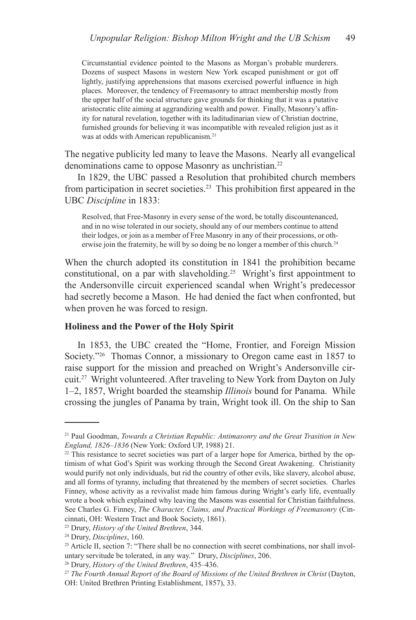Circumstantial evidence pointed to the Masons as Morgan's probable murderers. Dozens of suspect Masons in western New York escaped punishment or got off lightly, justifying apprehensions that masons exercised powerful influence in high places. Moreover, the tendency of Freemasonry to attract membership mostly from the upper half of the social structure gave grounds for thinking that it was a putative aristocratic elite aiming at aggrandizing wealth and power. Finally, Masonry's affinity for natural revelation, together with its laditudinarian view of Christian doctrine, furnished grounds for believing it was incompatible with revealed religion just as it was at odds with American republicanism.<sup>21</sup>

The negative publicity led many to leave the Masons. Nearly all evangelical denominations came to oppose Masonry as unchristian.<sup>22</sup>

In 1829, the UBC passed a Resolution that prohibited church members from participation in secret societies.<sup>23</sup> This prohibition first appeared in the UBC *Discipline* in 1833:

Resolved, that Free-Masonry in every sense of the word, be totally discountenanced, and in no wise tolerated in our society, should any of our members continue to attend their lodges, or join as a member of Free Masonry in any of their processions, or otherwise join the fraternity, he will by so doing be no longer a member of this church.<sup>24</sup>

When the church adopted its constitution in 1841 the prohibition became constitutional, on a par with slaveholding.<sup>25</sup> Wright's first appointment to the Andersonville circuit experienced scandal when Wright's predecessor had secretly become a Mason. He had denied the fact when confronted, but when proven he was forced to resign.

#### **Holiness and the Power of the Holy Spirit**

In 1853, the UBC created the "Home, Frontier, and Foreign Mission Society."<sup>26</sup> Thomas Connor, a missionary to Oregon came east in 1857 to raise support for the mission and preached on Wright's Andersonville circuit.<sup>27</sup> Wright volunteered. After traveling to New York from Dayton on July 1–2, 1857, Wright boarded the steamship *Illinois* bound for Panama. While crossing the jungles of Panama by train, Wright took ill. On the ship to San

<sup>21</sup> Paul Goodman, *Towards a Christian Republic: Antimasonry and the Great Trasition in New England, 1826–1836* (New York: Oxford UP, 1988) 21.

<sup>&</sup>lt;sup>22</sup> This resistance to secret societies was part of a larger hope for America, birthed by the optimism of what God's Spirit was working through the Second Great Awakening. Christianity would purify not only individuals, but rid the country of other evils, like slavery, alcohol abuse, and all forms of tyranny, including that threatened by the members of secret societies. Charles Finney, whose activity as a revivalist made him famous during Wright's early life, eventually wrote a book which explained why leaving the Masons was essential for Christian faithfulness. See Charles G. Finney, *The Character, Claims, and Practical Workings of Freemasonry* (Cincinnati, OH: Western Tract and Book Society, 1861).

<sup>23</sup> Drury, *History of the United Brethren*, 344.

<sup>24</sup> Drury, *Disciplines*, 160.

<sup>&</sup>lt;sup>25</sup> Article II, section 7: "There shall be no connection with secret combinations, nor shall involuntary servitude be tolerated, in any way." Drury, *Disciplines*, 206.

<sup>26</sup> Drury, *History of the United Brethren*, 435–436.

<sup>&</sup>lt;sup>27</sup> The Fourth Annual Report of the Board of Missions of the United Brethren in Christ (Dayton, OH: United Brethren Printing Establishment, 1857), 33.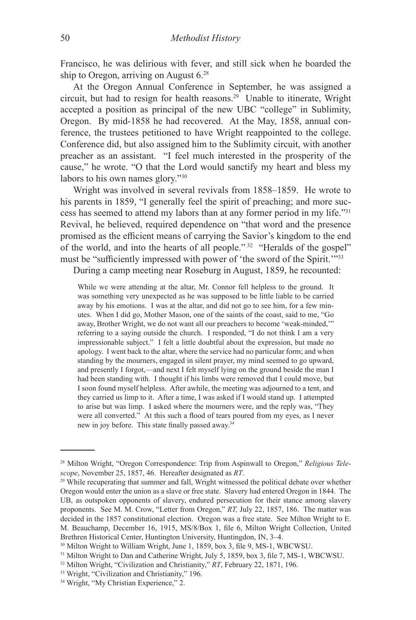Francisco, he was delirious with fever, and still sick when he boarded the ship to Oregon, arriving on August 6.<sup>28</sup>

At the Oregon Annual Conference in September, he was assigned a circuit, but had to resign for health reasons.<sup>29</sup> Unable to itinerate, Wright accepted a position as principal of the new UBC "college" in Sublimity, Oregon. By mid-1858 he had recovered. At the May, 1858, annual conference, the trustees petitioned to have Wright reappointed to the college. Conference did, but also assigned him to the Sublimity circuit, with another preacher as an assistant. "I feel much interested in the prosperity of the cause," he wrote. "O that the Lord would sanctify my heart and bless my labors to his own names glory."30

Wright was involved in several revivals from 1858–1859. He wrote to his parents in 1859, "I generally feel the spirit of preaching; and more success has seemed to attend my labors than at any former period in my life."31 Revival, he believed, required dependence on "that word and the presence promised as the efficient means of carrying the Savior's kingdom to the end of the world, and into the hearts of all people." 32 "Heralds of the gospel" must be "sufficiently impressed with power of 'the sword of the Spirit.'"33

During a camp meeting near Roseburg in August, 1859, he recounted:

While we were attending at the altar, Mr. Connor fell helpless to the ground. It was something very unexpected as he was supposed to be little liable to be carried away by his emotions. I was at the altar, and did not go to see him, for a few minutes. When I did go, Mother Mason, one of the saints of the coast, said to me, "Go away, Brother Wright, we do not want all our preachers to become 'weak-minded,'" referring to a saying outside the church. I responded, "I do not think I am a very impressionable subject." I felt a little doubtful about the expression, but made no apology. I went back to the altar, where the service had no particular form; and when standing by the mourners, engaged in silent prayer, my mind seemed to go upward, and presently I forgot,—and next I felt myself lying on the ground beside the man I had been standing with. I thought if his limbs were removed that I could move, but I soon found myself helpless. After awhile, the meeting was adjourned to a tent, and they carried us limp to it. After a time, I was asked if I would stand up. I attempted to arise but was limp. I asked where the mourners were, and the reply was, "They were all converted." At this such a flood of tears poured from my eyes, as I never new in joy before. This state finally passed away.34

<sup>28</sup> Milton Wright, "Oregon Correspondence: Trip from Aspinwall to Oregon," *Religious Telescope*, November 25, 1857, 46. Hereafter designated as *RT*.

<sup>&</sup>lt;sup>29</sup> While recuperating that summer and fall, Wright witnessed the political debate over whether Oregon would enter the union as a slave or free state. Slavery had entered Oregon in 1844. The UB, as outspoken opponents of slavery, endured persecution for their stance among slavery proponents. See M. M. Crow, "Letter from Oregon," *RT,* July 22, 1857, 186. The matter was decided in the 1857 constitutional election. Oregon was a free state. See Milton Wright to E. M. Beauchamp, December 16, 1915, MS/8/Box 1, file 6, Milton Wright Collection, United Brethren Historical Center, Huntington University, Huntingdon, IN, 3–4.

<sup>30</sup> Milton Wright to William Wright, June 1, 1859, box 3, file 9, MS-1, WBCWSU.

<sup>&</sup>lt;sup>31</sup> Milton Wright to Dan and Catherine Wright, July 5, 1859, box 3, file 7, MS-1, WBCWSU.

<sup>32</sup> Milton Wright, "Civilization and Christianity," *RT*, February 22, 1871, 196.

<sup>33</sup> Wright, "Civilization and Christianity," 196.

<sup>34</sup> Wright, "My Christian Experience," 2.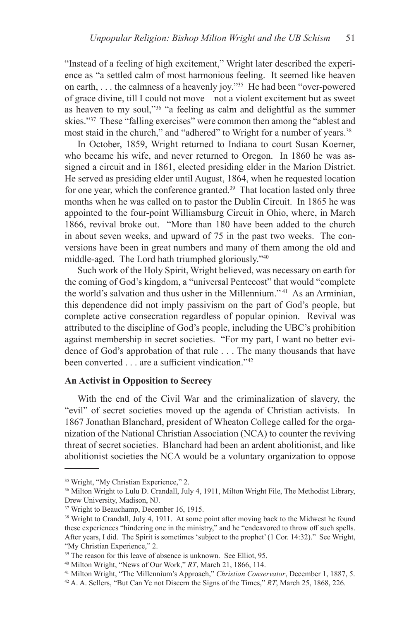"Instead of a feeling of high excitement," Wright later described the experience as "a settled calm of most harmonious feeling. It seemed like heaven on earth, . . . the calmness of a heavenly joy."35 He had been "over-powered of grace divine, till I could not move—not a violent excitement but as sweet as heaven to my soul,"36 "a feeling as calm and delightful as the summer skies."37 These "falling exercises" were common then among the "ablest and most staid in the church," and "adhered" to Wright for a number of years.<sup>38</sup>

In October, 1859, Wright returned to Indiana to court Susan Koerner, who became his wife, and never returned to Oregon. In 1860 he was assigned a circuit and in 1861, elected presiding elder in the Marion District. He served as presiding elder until August, 1864, when he requested location for one year, which the conference granted.<sup>39</sup> That location lasted only three months when he was called on to pastor the Dublin Circuit. In 1865 he was appointed to the four-point Williamsburg Circuit in Ohio, where, in March 1866, revival broke out. "More than 180 have been added to the church in about seven weeks, and upward of 75 in the past two weeks. The conversions have been in great numbers and many of them among the old and middle-aged. The Lord hath triumphed gloriously."40

Such work of the Holy Spirit, Wright believed, was necessary on earth for the coming of God's kingdom, a "universal Pentecost" that would "complete the world's salvation and thus usher in the Millennium." 41 As an Arminian, this dependence did not imply passivism on the part of God's people, but complete active consecration regardless of popular opinion. Revival was attributed to the discipline of God's people, including the UBC's prohibition against membership in secret societies. "For my part, I want no better evidence of God's approbation of that rule . . . The many thousands that have been converted . . . are a sufficient vindication."42

## **An Activist in Opposition to Secrecy**

With the end of the Civil War and the criminalization of slavery, the "evil" of secret societies moved up the agenda of Christian activists. In 1867 Jonathan Blanchard, president of Wheaton College called for the organization of the National Christian Association (NCA) to counter the reviving threat of secret societies. Blanchard had been an ardent abolitionist, and like abolitionist societies the NCA would be a voluntary organization to oppose

<sup>35</sup> Wright, "My Christian Experience," 2.

<sup>&</sup>lt;sup>36</sup> Milton Wright to Lulu D. Crandall, July 4, 1911, Milton Wright File, The Methodist Library, Drew University, Madison, NJ.

<sup>&</sup>lt;sup>37</sup> Wright to Beauchamp, December 16, 1915.

<sup>&</sup>lt;sup>38</sup> Wright to Crandall, July 4, 1911. At some point after moving back to the Midwest he found these experiences "hindering one in the ministry," and he "endeavored to throw off such spells. After years, I did. The Spirit is sometimes 'subject to the prophet' (1 Cor. 14:32)." See Wright, "My Christian Experience," 2.

<sup>&</sup>lt;sup>39</sup> The reason for this leave of absence is unknown. See Elliot, 95.

<sup>40</sup> Milton Wright, "News of Our Work," *RT*, March 21, 1866, 114.

<sup>41</sup> Milton Wright, "The Millennium's Approach," *Christian Conservator*, December 1, 1887, 5.

<sup>42</sup> A. A. Sellers, "But Can Ye not Discern the Signs of the Times," *RT*, March 25, 1868, 226.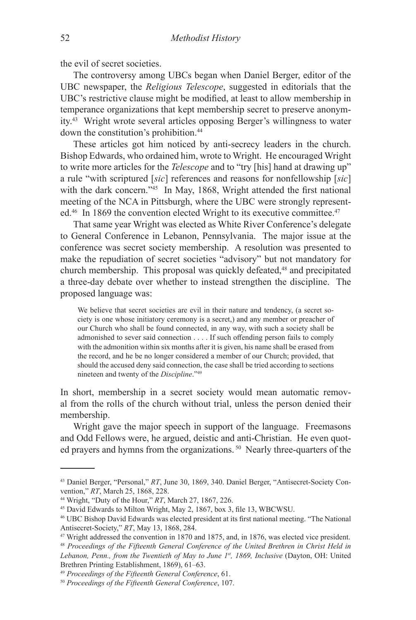the evil of secret societies.

The controversy among UBCs began when Daniel Berger, editor of the UBC newspaper, the *Religious Telescope*, suggested in editorials that the UBC's restrictive clause might be modified, at least to allow membership in temperance organizations that kept membership secret to preserve anonymity.43 Wright wrote several articles opposing Berger's willingness to water down the constitution's prohibition.44

These articles got him noticed by anti-secrecy leaders in the church. Bishop Edwards, who ordained him, wrote to Wright. He encouraged Wright to write more articles for the *Telescope* and to "try [his] hand at drawing up" a rule "with scriptured [*sic*] references and reasons for nonfellowship [*sic*] with the dark concern."<sup>45</sup> In May, 1868, Wright attended the first national meeting of the NCA in Pittsburgh, where the UBC were strongly represented.<sup>46</sup> In 1869 the convention elected Wright to its executive committee.<sup>47</sup>

That same year Wright was elected as White River Conference's delegate to General Conference in Lebanon, Pennsylvania. The major issue at the conference was secret society membership. A resolution was presented to make the repudiation of secret societies "advisory" but not mandatory for church membership. This proposal was quickly defeated,<sup>48</sup> and precipitated a three-day debate over whether to instead strengthen the discipline. The proposed language was:

We believe that secret societies are evil in their nature and tendency, (a secret society is one whose initiatory ceremony is a secret,) and any member or preacher of our Church who shall be found connected, in any way, with such a society shall be admonished to sever said connection . . . . If such offending person fails to comply with the admonition within six months after it is given, his name shall be erased from the record, and he be no longer considered a member of our Church; provided, that should the accused deny said connection, the case shall be tried according to sections nineteen and twenty of the *Discipline*."49

In short, membership in a secret society would mean automatic removal from the rolls of the church without trial, unless the person denied their membership.

Wright gave the major speech in support of the language. Freemasons and Odd Fellows were, he argued, deistic and anti-Christian. He even quoted prayers and hymns from the organizations.<sup>50</sup> Nearly three-quarters of the

<sup>43</sup> Daniel Berger, "Personal," *RT*, June 30, 1869, 340. Daniel Berger, "Antisecret-Society Convention," *RT*, March 25, 1868, 228.

<sup>44</sup> Wright, "Duty of the Hour," *RT*, March 27, 1867, 226.

<sup>45</sup> David Edwards to Milton Wright, May 2, 1867, box 3, file 13, WBCWSU.

<sup>46</sup> UBC Bishop David Edwards was elected president at its first national meeting. "The National Antisecret-Society," *RT*, May 13, 1868, 284.

<sup>47</sup> Wright addressed the convention in 1870 and 1875, and, in 1876, was elected vice president.

<sup>48</sup> *Proceedings of the Fifteenth General Conference of the United Brethren in Christ Held in Lebanon, Penn., from the Twentieth of May to June 1st, 1869, Inclusive* (Dayton, OH: United Brethren Printing Establishment, 1869), 61–63.

<sup>49</sup> *Proceedings of the Fifteenth General Conference*, 61.

<sup>50</sup> *Proceedings of the Fifteenth General Conference*, 107.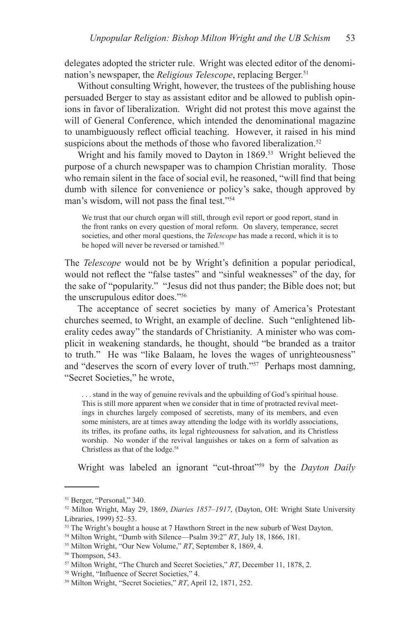delegates adopted the stricter rule. Wright was elected editor of the denomination's newspaper, the *Religious Telescope*, replacing Berger.<sup>51</sup>

Without consulting Wright, however, the trustees of the publishing house persuaded Berger to stay as assistant editor and be allowed to publish opinions in favor of liberalization. Wright did not protest this move against the will of General Conference, which intended the denominational magazine to unambiguously reflect official teaching. However, it raised in his mind suspicions about the methods of those who favored liberalization.<sup>52</sup>

Wright and his family moved to Dayton in 1869.<sup>53</sup> Wright believed the purpose of a church newspaper was to champion Christian morality. Those who remain silent in the face of social evil, he reasoned, "will find that being dumb with silence for convenience or policy's sake, though approved by man's wisdom, will not pass the final test."54

We trust that our church organ will still, through evil report or good report, stand in the front ranks on every question of moral reform. On slavery, temperance, secret societies, and other moral questions, the *Telescope* has made a record, which it is to be hoped will never be reversed or tarnished.<sup>55</sup>

The *Telescope* would not be by Wright's definition a popular periodical, would not reflect the "false tastes" and "sinful weaknesses" of the day, for the sake of "popularity." "Jesus did not thus pander; the Bible does not; but the unscrupulous editor does."56

The acceptance of secret societies by many of America's Protestant churches seemed, to Wright, an example of decline. Such "enlightened liberality cedes away" the standards of Christianity. A minister who was complicit in weakening standards, he thought, should "be branded as a traitor to truth." He was "like Balaam, he loves the wages of unrighteousness" and "deserves the scorn of every lover of truth."57 Perhaps most damning, "Secret Societies," he wrote,

. . . stand in the way of genuine revivals and the upbuilding of God's spiritual house. This is still more apparent when we consider that in time of protracted revival meetings in churches largely composed of secretists, many of its members, and even some ministers, are at times away attending the lodge with its worldly associations, its trifles, its profane oaths, its legal righteousness for salvation, and its Christless worship. No wonder if the revival languishes or takes on a form of salvation as Christless as that of the lodge.<sup>58</sup>

Wright was labeled an ignorant "cut-throat"<sup>559</sup> by the *Dayton Daily* 

<sup>51</sup> Berger, "Personal," 340.

<sup>52</sup> Milton Wright, May 29, 1869, *Diaries 1857–1917*, (Dayton, OH: Wright State University Libraries, 1999) 52–53.

<sup>&</sup>lt;sup>53</sup> The Wright's bought a house at 7 Hawthorn Street in the new suburb of West Dayton.

<sup>54</sup> Milton Wright, "Dumb with Silence—Psalm 39:2" *RT*, July 18, 1866, 181.

<sup>55</sup> Milton Wright, "Our New Volume," *RT*, September 8, 1869, 4.

<sup>&</sup>lt;sup>56</sup> Thompson, 543.

<sup>57</sup> Milton Wright, "The Church and Secret Societies," *RT*, December 11, 1878, 2.

<sup>58</sup> Wright, "Influence of Secret Societies," 4.

<sup>59</sup> Milton Wright, "Secret Societies," *RT*, April 12, 1871, 252.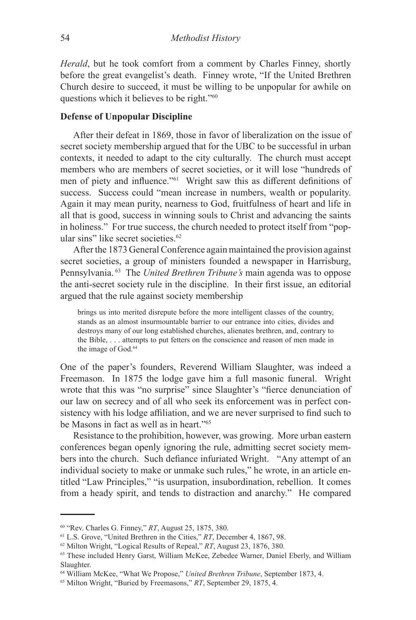*Herald*, but he took comfort from a comment by Charles Finney, shortly before the great evangelist's death. Finney wrote, "If the United Brethren Church desire to succeed, it must be willing to be unpopular for awhile on questions which it believes to be right."<sup>60</sup>

# **Defense of Unpopular Discipline**

After their defeat in 1869, those in favor of liberalization on the issue of secret society membership argued that for the UBC to be successful in urban contexts, it needed to adapt to the city culturally. The church must accept members who are members of secret societies, or it will lose "hundreds of men of piety and influence."<sup>61</sup> Wright saw this as different definitions of success. Success could "mean increase in numbers, wealth or popularity. Again it may mean purity, nearness to God, fruitfulness of heart and life in all that is good, success in winning souls to Christ and advancing the saints in holiness." For true success, the church needed to protect itself from "popular sins" like secret societies.<sup>62</sup>

After the 1873 General Conference again maintained the provision against secret societies, a group of ministers founded a newspaper in Harrisburg, Pennsylvania. 63 The *United Brethren Tribune's* main agenda was to oppose the anti-secret society rule in the discipline. In their first issue, an editorial argued that the rule against society membership

brings us into merited disrepute before the more intelligent classes of the country, stands as an almost insurmountable barrier to our entrance into cities, divides and destroys many of our long established churches, alienates brethren, and, contrary to the Bible, . . . attempts to put fetters on the conscience and reason of men made in the image of God.<sup>64</sup>

One of the paper's founders, Reverend William Slaughter, was indeed a Freemason. In 1875 the lodge gave him a full masonic funeral. Wright wrote that this was "no surprise" since Slaughter's "fierce denunciation of our law on secrecy and of all who seek its enforcement was in perfect consistency with his lodge affiliation, and we are never surprised to find such to be Masons in fact as well as in heart."65

Resistance to the prohibition, however, was growing. More urban eastern conferences began openly ignoring the rule, admitting secret society members into the church. Such defiance infuriated Wright. "Any attempt of an individual society to make or unmake such rules," he wrote, in an article entitled "Law Principles," "is usurpation, insubordination, rebellion. It comes from a heady spirit, and tends to distraction and anarchy." He compared

<sup>60</sup> "Rev. Charles G. Finney," *RT*, August 25, 1875, 380.

<sup>61</sup> L.S. Grove, "United Brethren in the Cities," *RT*, December 4, 1867, 98.

<sup>62</sup> Milton Wright, "Logical Results of Repeal," *RT*, August 23, 1876, 380.

<sup>63</sup> These included Henry Garst, William McKee, Zebedee Warner, Daniel Eberly, and William Slaughter.

<sup>64</sup> William McKee, "What We Propose," *United Brethren Tribune*, September 1873, 4.

<sup>65</sup> Milton Wright, "Buried by Freemasons," *RT*, September 29, 1875, 4.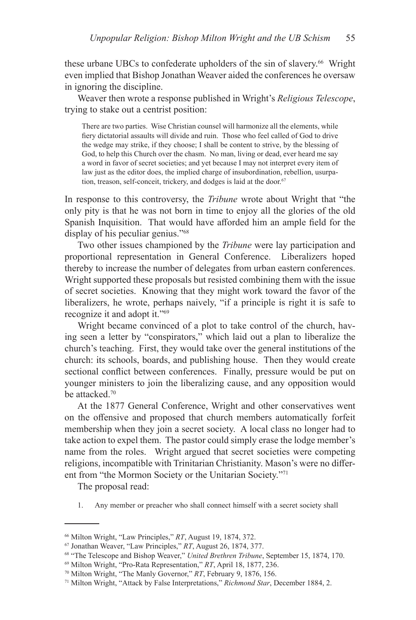these urbane UBCs to confederate upholders of the sin of slavery.<sup>66</sup> Wright even implied that Bishop Jonathan Weaver aided the conferences he oversaw in ignoring the discipline.

Weaver then wrote a response published in Wright's *Religious Telescope*, trying to stake out a centrist position:

There are two parties. Wise Christian counsel will harmonize all the elements, while fiery dictatorial assaults will divide and ruin. Those who feel called of God to drive the wedge may strike, if they choose; I shall be content to strive, by the blessing of God, to help this Church over the chasm. No man, living or dead, ever heard me say a word in favor of secret societies; and yet because I may not interpret every item of law just as the editor does, the implied charge of insubordination, rebellion, usurpation, treason, self-conceit, trickery, and dodges is laid at the door.<sup>67</sup>

In response to this controversy, the *Tribune* wrote about Wright that "the only pity is that he was not born in time to enjoy all the glories of the old Spanish Inquisition. That would have afforded him an ample field for the display of his peculiar genius."<sup>68</sup>

Two other issues championed by the *Tribune* were lay participation and proportional representation in General Conference. Liberalizers hoped thereby to increase the number of delegates from urban eastern conferences. Wright supported these proposals but resisted combining them with the issue of secret societies. Knowing that they might work toward the favor of the liberalizers, he wrote, perhaps naively, "if a principle is right it is safe to recognize it and adopt it."<sup>69</sup>

Wright became convinced of a plot to take control of the church, having seen a letter by "conspirators," which laid out a plan to liberalize the church's teaching. First, they would take over the general institutions of the church: its schools, boards, and publishing house. Then they would create sectional conflict between conferences. Finally, pressure would be put on younger ministers to join the liberalizing cause, and any opposition would be attacked.<sup>70</sup>

At the 1877 General Conference, Wright and other conservatives went on the offensive and proposed that church members automatically forfeit membership when they join a secret society. A local class no longer had to take action to expel them. The pastor could simply erase the lodge member's name from the roles. Wright argued that secret societies were competing religions, incompatible with Trinitarian Christianity. Mason's were no different from "the Mormon Society or the Unitarian Society."71

The proposal read:

1. Any member or preacher who shall connect himself with a secret society shall

<sup>66</sup> Milton Wright, "Law Principles," *RT*, August 19, 1874, 372.

<sup>67</sup> Jonathan Weaver, "Law Principles," *RT*, August 26, 1874, 377.

<sup>68</sup> "The Telescope and Bishop Weaver," *United Brethren Tribune*, September 15, 1874, 170.

<sup>69</sup> Milton Wright, "Pro-Rata Representation," *RT*, April 18, 1877, 236.

<sup>70</sup> Milton Wright, "The Manly Governor," *RT*, February 9, 1876, 156.

<sup>71</sup> Milton Wright, "Attack by False Interpretations," *Richmond Star*, December 1884, 2.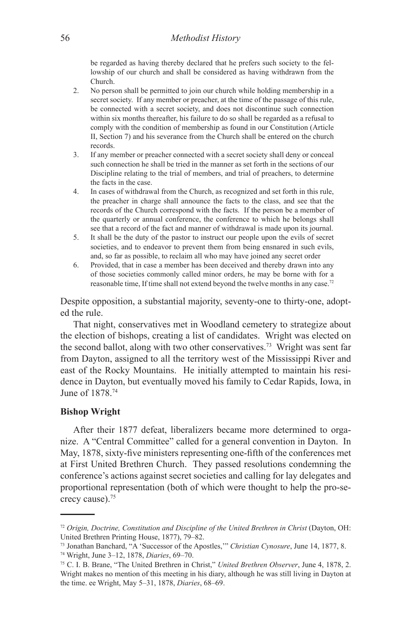be regarded as having thereby declared that he prefers such society to the fellowship of our church and shall be considered as having withdrawn from the Church.

- 2. No person shall be permitted to join our church while holding membership in a secret society. If any member or preacher, at the time of the passage of this rule, be connected with a secret society, and does not discontinue such connection within six months thereafter, his failure to do so shall be regarded as a refusal to comply with the condition of membership as found in our Constitution (Article II, Section 7) and his severance from the Church shall be entered on the church records.
- 3. If any member or preacher connected with a secret society shall deny or conceal such connection he shall be tried in the manner as set forth in the sections of our Discipline relating to the trial of members, and trial of preachers, to determine the facts in the case.
- 4. In cases of withdrawal from the Church, as recognized and set forth in this rule, the preacher in charge shall announce the facts to the class, and see that the records of the Church correspond with the facts. If the person be a member of the quarterly or annual conference, the conference to which he belongs shall see that a record of the fact and manner of withdrawal is made upon its journal.
- 5. It shall be the duty of the pastor to instruct our people upon the evils of secret societies, and to endeavor to prevent them from being ensnared in such evils, and, so far as possible, to reclaim all who may have joined any secret order
- 6. Provided, that in case a member has been deceived and thereby drawn into any of those societies commonly called minor orders, he may be borne with for a reasonable time, If time shall not extend beyond the twelve months in any case.72

Despite opposition, a substantial majority, seventy-one to thirty-one, adopted the rule.

That night, conservatives met in Woodland cemetery to strategize about the election of bishops, creating a list of candidates. Wright was elected on the second ballot, along with two other conservatives.73 Wright was sent far from Dayton, assigned to all the territory west of the Mississippi River and east of the Rocky Mountains. He initially attempted to maintain his residence in Dayton, but eventually moved his family to Cedar Rapids, Iowa, in June of 1878.74

#### **Bishop Wright**

After their 1877 defeat, liberalizers became more determined to organize. A "Central Committee" called for a general convention in Dayton. In May, 1878, sixty-five ministers representing one-fifth of the conferences met at First United Brethren Church. They passed resolutions condemning the conference's actions against secret societies and calling for lay delegates and proportional representation (both of which were thought to help the pro-secrecy cause).75

<sup>&</sup>lt;sup>72</sup> *Origin, Doctrine, Constitution and Discipline of the United Brethren in Christ* (Dayton, OH: United Brethren Printing House, 1877), 79–82.

<sup>73</sup> Jonathan Banchard, "A 'Successor of the Apostles,'" *Christian Cynosure*, June 14, 1877, 8. 74 Wright, June 3–12, 1878, *Diaries*, 69–70.

<sup>75</sup> C. I. B. Brane, "The United Brethren in Christ," *United Brethren Observer*, June 4, 1878, 2. Wright makes no mention of this meeting in his diary, although he was still living in Dayton at the time. ee Wright, May 5–31, 1878, *Diaries*, 68–69.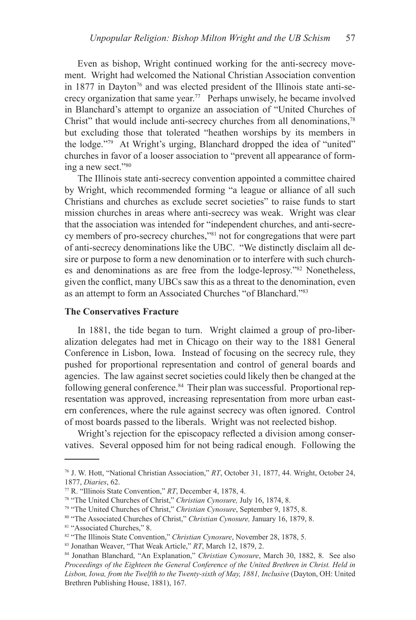Even as bishop, Wright continued working for the anti-secrecy movement. Wright had welcomed the National Christian Association convention in 1877 in Dayton<sup>76</sup> and was elected president of the Illinois state anti-secrecy organization that same year.<sup>77</sup> Perhaps unwisely, he became involved in Blanchard's attempt to organize an association of "United Churches of Christ" that would include anti-secrecy churches from all denominations,<sup>78</sup> but excluding those that tolerated "heathen worships by its members in the lodge."79 At Wright's urging, Blanchard dropped the idea of "united" churches in favor of a looser association to "prevent all appearance of forming a new sect."<sup>80</sup>

The Illinois state anti-secrecy convention appointed a committee chaired by Wright, which recommended forming "a league or alliance of all such Christians and churches as exclude secret societies" to raise funds to start mission churches in areas where anti-secrecy was weak. Wright was clear that the association was intended for "independent churches, and anti-secrecy members of pro-secrecy churches,"<sup>81</sup> not for congregations that were part of anti-secrecy denominations like the UBC. "We distinctly disclaim all desire or purpose to form a new denomination or to interfere with such churches and denominations as are free from the lodge-leprosy."<sup>82</sup> Nonetheless, given the conflict, many UBCs saw this as a threat to the denomination, even as an attempt to form an Associated Churches "of Blanchard."83

### **The Conservatives Fracture**

In 1881, the tide began to turn. Wright claimed a group of pro-liberalization delegates had met in Chicago on their way to the 1881 General Conference in Lisbon, Iowa. Instead of focusing on the secrecy rule, they pushed for proportional representation and control of general boards and agencies. The law against secret societies could likely then be changed at the following general conference.<sup>84</sup> Their plan was successful. Proportional representation was approved, increasing representation from more urban eastern conferences, where the rule against secrecy was often ignored. Control of most boards passed to the liberals. Wright was not reelected bishop.

Wright's rejection for the episcopacy reflected a division among conservatives. Several opposed him for not being radical enough. Following the

<sup>76</sup> J. W. Hott, "National Christian Association," *RT*, October 31, 1877, 44. Wright, October 24, 1877, *Diaries*, 62.

<sup>77</sup> R. "Illinois State Convention," *RT*, December 4, 1878, 4.

<sup>78 &</sup>quot;The United Churches of Christ," *Christian Cynosure,* July 16, 1874, 8.

<sup>79 &</sup>quot;The United Churches of Christ," *Christian Cynosure*, September 9, 1875, 8.

<sup>80</sup> "The Associated Churches of Christ," *Christian Cynosure,* January 16, 1879, 8.

<sup>81 &</sup>quot;Associated Churches," 8.

<sup>82</sup> "The Illinois State Convention," *Christian Cynosure*, November 28, 1878, 5.

<sup>83</sup> Jonathan Weaver, "That Weak Article," *RT*, March 12, 1879, 2.

<sup>84</sup> Jonathan Blanchard, "An Explanation," *Christian Cynosure*, March 30, 1882, 8. See also *Proceedings of the Eighteen the General Conference of the United Brethren in Christ. Held in*  Lisbon, Iowa, from the Twelfth to the Twenty-sixth of May, 1881, Inclusive (Dayton, OH: United Brethren Publishing House, 1881), 167.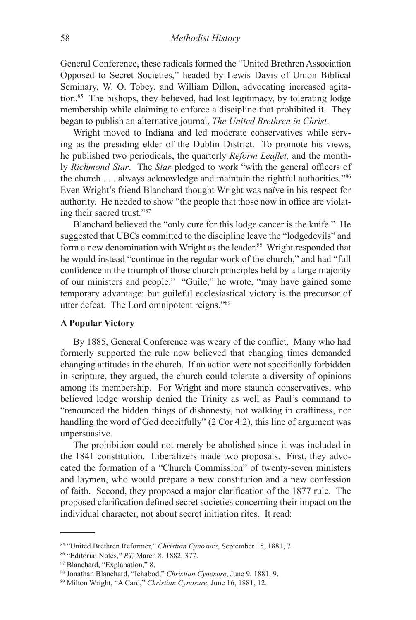General Conference, these radicals formed the "United Brethren Association Opposed to Secret Societies," headed by Lewis Davis of Union Biblical Seminary, W. O. Tobey, and William Dillon, advocating increased agitation.85 The bishops, they believed, had lost legitimacy, by tolerating lodge membership while claiming to enforce a discipline that prohibited it. They began to publish an alternative journal, *The United Brethren in Christ*.

Wright moved to Indiana and led moderate conservatives while serving as the presiding elder of the Dublin District. To promote his views, he published two periodicals, the quarterly *Reform Leaflet,* and the monthly *Richmond Star*. The *Star* pledged to work "with the general officers of the church . . . always acknowledge and maintain the rightful authorities."<sup>86</sup> Even Wright's friend Blanchard thought Wright was naïve in his respect for authority. He needed to show "the people that those now in office are violating their sacred trust."87

Blanchard believed the "only cure for this lodge cancer is the knife." He suggested that UBCs committed to the discipline leave the "lodgedevils" and form a new denomination with Wright as the leader.<sup>88</sup> Wright responded that he would instead "continue in the regular work of the church," and had "full confidence in the triumph of those church principles held by a large majority of our ministers and people." "Guile," he wrote, "may have gained some temporary advantage; but guileful ecclesiastical victory is the precursor of utter defeat. The Lord omnipotent reigns."<sup>89</sup>

## **A Popular Victory**

By 1885, General Conference was weary of the conflict. Many who had formerly supported the rule now believed that changing times demanded changing attitudes in the church. If an action were not specifically forbidden in scripture, they argued, the church could tolerate a diversity of opinions among its membership. For Wright and more staunch conservatives, who believed lodge worship denied the Trinity as well as Paul's command to "renounced the hidden things of dishonesty, not walking in craftiness, nor handling the word of God deceitfully" (2 Cor 4:2), this line of argument was unpersuasive.

The prohibition could not merely be abolished since it was included in the 1841 constitution. Liberalizers made two proposals. First, they advocated the formation of a "Church Commission" of twenty-seven ministers and laymen, who would prepare a new constitution and a new confession of faith. Second, they proposed a major clarification of the 1877 rule. The proposed clarification defined secret societies concerning their impact on the individual character, not about secret initiation rites. It read:

<sup>85 &</sup>quot;United Brethren Reformer," *Christian Cynosure*, September 15, 1881, 7.

<sup>86</sup> "Editorial Notes," *RT,* March 8, 1882, 377.

<sup>87</sup> Blanchard, "Explanation," 8.

<sup>88</sup> Jonathan Blanchard, "Ichabod," *Christian Cynosure*, June 9, 1881, 9.

<sup>89</sup> Milton Wright, "A Card," *Christian Cynosure*, June 16, 1881, 12.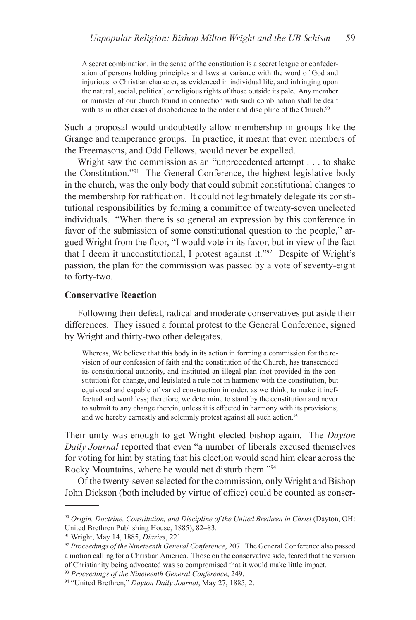A secret combination, in the sense of the constitution is a secret league or confederation of persons holding principles and laws at variance with the word of God and injurious to Christian character, as evidenced in individual life, and infringing upon the natural, social, political, or religious rights of those outside its pale. Any member or minister of our church found in connection with such combination shall be dealt with as in other cases of disobedience to the order and discipline of the Church.<sup>90</sup>

Such a proposal would undoubtedly allow membership in groups like the Grange and temperance groups. In practice, it meant that even members of the Freemasons, and Odd Fellows, would never be expelled.

Wright saw the commission as an "unprecedented attempt . . . to shake the Constitution."<sup>91</sup> The General Conference, the highest legislative body in the church, was the only body that could submit constitutional changes to the membership for ratification. It could not legitimately delegate its constitutional responsibilities by forming a committee of twenty-seven unelected individuals. "When there is so general an expression by this conference in favor of the submission of some constitutional question to the people," argued Wright from the floor, "I would vote in its favor, but in view of the fact that I deem it unconstitutional, I protest against it."<sup>92</sup> Despite of Wright's passion, the plan for the commission was passed by a vote of seventy-eight to forty-two.

## **Conservative Reaction**

Following their defeat, radical and moderate conservatives put aside their differences. They issued a formal protest to the General Conference, signed by Wright and thirty-two other delegates.

Whereas, We believe that this body in its action in forming a commission for the revision of our confession of faith and the constitution of the Church, has transcended its constitutional authority, and instituted an illegal plan (not provided in the constitution) for change, and legislated a rule not in harmony with the constitution, but equivocal and capable of varied construction in order, as we think, to make it ineffectual and worthless; therefore, we determine to stand by the constitution and never to submit to any change therein, unless it is effected in harmony with its provisions; and we hereby earnestly and solemnly protest against all such action.<sup>93</sup>

Their unity was enough to get Wright elected bishop again. The *Dayton Daily Journal* reported that even "a number of liberals excused themselves for voting for him by stating that his election would send him clear across the Rocky Mountains, where he would not disturb them."94

Of the twenty-seven selected for the commission, only Wright and Bishop John Dickson (both included by virtue of office) could be counted as conser-

<sup>&</sup>lt;sup>90</sup> Origin, Doctrine, Constitution, and Discipline of the United Brethren in Christ (Dayton, OH: United Brethren Publishing House, 1885), 82–83.

<sup>91</sup> Wright, May 14, 1885, *Diaries*, 221.

<sup>92</sup> *Proceedings of the Nineteenth General Conference*, 207. The General Conference also passed a motion calling for a Christian America. Those on the conservative side, feared that the version of Christianity being advocated was so compromised that it would make little impact.

<sup>93</sup> *Proceedings of the Nineteenth General Conference*, 249.

<sup>94 &</sup>quot;United Brethren," *Dayton Daily Journal*, May 27, 1885, 2.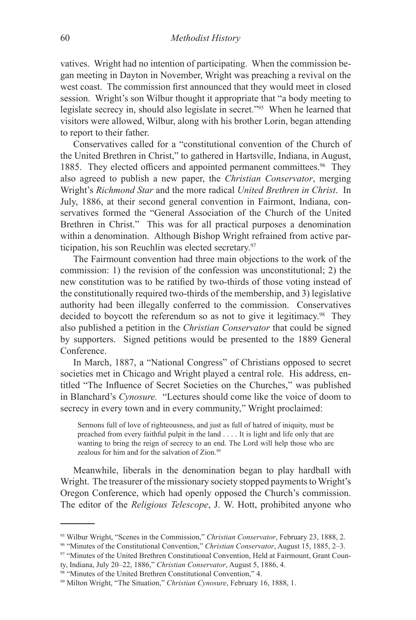vatives. Wright had no intention of participating. When the commission began meeting in Dayton in November, Wright was preaching a revival on the west coast. The commission first announced that they would meet in closed session. Wright's son Wilbur thought it appropriate that "a body meeting to legislate secrecy in, should also legislate in secret."95 When he learned that visitors were allowed, Wilbur, along with his brother Lorin, began attending to report to their father.

Conservatives called for a "constitutional convention of the Church of the United Brethren in Christ," to gathered in Hartsville, Indiana, in August, 1885. They elected officers and appointed permanent committees.<sup>96</sup> They also agreed to publish a new paper, the *Christian Conservator*, merging Wright's *Richmond Star* and the more radical *United Brethren in Christ*. In July, 1886, at their second general convention in Fairmont, Indiana, conservatives formed the "General Association of the Church of the United Brethren in Christ." This was for all practical purposes a denomination within a denomination. Although Bishop Wright refrained from active participation, his son Reuchlin was elected secretary.97

The Fairmount convention had three main objections to the work of the commission: 1) the revision of the confession was unconstitutional; 2) the new constitution was to be ratified by two-thirds of those voting instead of the constitutionally required two-thirds of the membership, and 3) legislative authority had been illegally conferred to the commission. Conservatives decided to boycott the referendum so as not to give it legitimacy.<sup>98</sup> They also published a petition in the *Christian Conservator* that could be signed by supporters. Signed petitions would be presented to the 1889 General Conference.

In March, 1887, a "National Congress" of Christians opposed to secret societies met in Chicago and Wright played a central role. His address, entitled "The Influence of Secret Societies on the Churches," was published in Blanchard's *Cynosure.* "Lectures should come like the voice of doom to secrecy in every town and in every community," Wright proclaimed:

Sermons full of love of righteousness, and just as full of hatred of iniquity, must be preached from every faithful pulpit in the land . . . . It is light and life only that are wanting to bring the reign of secrecy to an end. The Lord will help those who are zealous for him and for the salvation of Zion.<sup>99</sup>

Meanwhile, liberals in the denomination began to play hardball with Wright. The treasurer of the missionary society stopped payments to Wright's Oregon Conference, which had openly opposed the Church's commission. The editor of the *Religious Telescope*, J. W. Hott, prohibited anyone who

<sup>95</sup> Wilbur Wright, "Scenes in the Commission," *Christian Conservator*, February 23, 1888, 2.

<sup>96</sup> "Minutes of the Constitutional Convention," *Christian Conservator*, August 15, 1885, 2–3.

<sup>97 &</sup>quot;Minutes of the United Brethren Constitutional Convention, Held at Fairmount, Grant County, Indiana, July 20–22, 1886," *Christian Conservator*, August 5, 1886, 4.

<sup>98</sup> "Minutes of the United Brethren Constitutional Convention," 4.

<sup>99</sup> Milton Wright, "The Situation," *Christian Cynosure*, February 16, 1888, 1.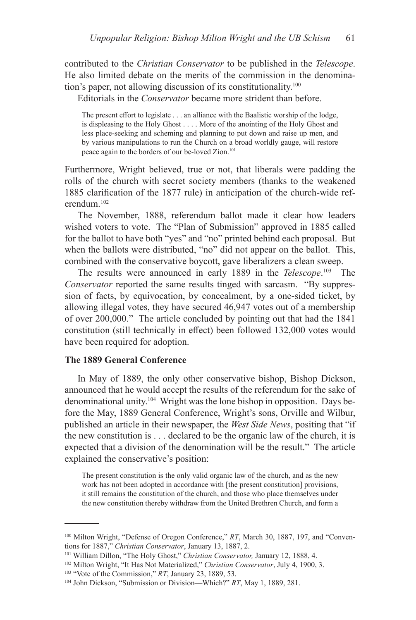contributed to the *Christian Conservator* to be published in the *Telescope*. He also limited debate on the merits of the commission in the denomination's paper, not allowing discussion of its constitutionality.<sup>100</sup>

Editorials in the *Conservator* became more strident than before.

The present effort to legislate . . . an alliance with the Baalistic worship of the lodge, is displeasing to the Holy Ghost . . . . More of the anointing of the Holy Ghost and less place-seeking and scheming and planning to put down and raise up men, and by various manipulations to run the Church on a broad worldly gauge, will restore peace again to the borders of our be-loved Zion.<sup>101</sup>

Furthermore, Wright believed, true or not, that liberals were padding the rolls of the church with secret society members (thanks to the weakened 1885 clarification of the 1877 rule) in anticipation of the church-wide referendum.<sup>102</sup>

The November, 1888, referendum ballot made it clear how leaders wished voters to vote. The "Plan of Submission" approved in 1885 called for the ballot to have both "yes" and "no" printed behind each proposal. But when the ballots were distributed, "no" did not appear on the ballot. This, combined with the conservative boycott, gave liberalizers a clean sweep.

The results were announced in early 1889 in the *Telescope*. 103 The *Conservator* reported the same results tinged with sarcasm. "By suppression of facts, by equivocation, by concealment, by a one-sided ticket, by allowing illegal votes, they have secured 46,947 votes out of a membership of over 200,000." The article concluded by pointing out that had the 1841 constitution (still technically in effect) been followed 132,000 votes would have been required for adoption.

## **The 1889 General Conference**

In May of 1889, the only other conservative bishop, Bishop Dickson, announced that he would accept the results of the referendum for the sake of denominational unity.104 Wright was the lone bishop in opposition. Days before the May, 1889 General Conference, Wright's sons, Orville and Wilbur, published an article in their newspaper, the *West Side News*, positing that "if the new constitution is . . . declared to be the organic law of the church, it is expected that a division of the denomination will be the result." The article explained the conservative's position:

The present constitution is the only valid organic law of the church, and as the new work has not been adopted in accordance with [the present constitution] provisions, it still remains the constitution of the church, and those who place themselves under the new constitution thereby withdraw from the United Brethren Church, and form a

<sup>&</sup>lt;sup>100</sup> Milton Wright, "Defense of Oregon Conference," RT, March 30, 1887, 197, and "Conventions for 1887," *Christian Conservator*, January 13, 1887, 2.

<sup>101</sup> William Dillon, "The Holy Ghost," *Christian Conservator,* January 12, 1888, 4.

<sup>102</sup> Milton Wright, "It Has Not Materialized," *Christian Conservator*, July 4, 1900, 3.

<sup>103 &</sup>quot;Vote of the Commission," *RT*, January 23, 1889, 53.

<sup>104</sup> John Dickson, "Submission or Division—Which?" *RT*, May 1, 1889, 281.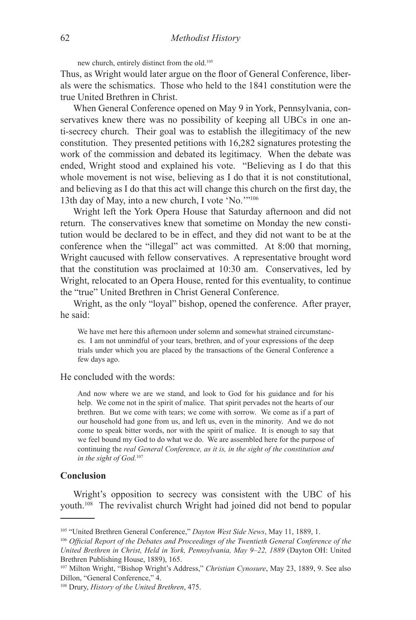new church, entirely distinct from the old.105

Thus, as Wright would later argue on the floor of General Conference, liberals were the schismatics. Those who held to the 1841 constitution were the true United Brethren in Christ.

When General Conference opened on May 9 in York, Pennsylvania, conservatives knew there was no possibility of keeping all UBCs in one anti-secrecy church. Their goal was to establish the illegitimacy of the new constitution. They presented petitions with 16,282 signatures protesting the work of the commission and debated its legitimacy. When the debate was ended, Wright stood and explained his vote. "Believing as I do that this whole movement is not wise, believing as I do that it is not constitutional, and believing as I do that this act will change this church on the first day, the 13th day of May, into a new church, I vote 'No.'"<sup>106</sup>

Wright left the York Opera House that Saturday afternoon and did not return. The conservatives knew that sometime on Monday the new constitution would be declared to be in effect, and they did not want to be at the conference when the "illegal" act was committed. At 8:00 that morning, Wright caucused with fellow conservatives. A representative brought word that the constitution was proclaimed at 10:30 am. Conservatives, led by Wright, relocated to an Opera House, rented for this eventuality, to continue the "true" United Brethren in Christ General Conference.

Wright, as the only "loyal" bishop, opened the conference. After prayer, he said:

We have met here this afternoon under solemn and somewhat strained circumstances. I am not unmindful of your tears, brethren, and of your expressions of the deep trials under which you are placed by the transactions of the General Conference a few days ago.

#### He concluded with the words:

And now where we are we stand, and look to God for his guidance and for his help. We come not in the spirit of malice. That spirit pervades not the hearts of our brethren. But we come with tears; we come with sorrow. We come as if a part of our household had gone from us, and left us, even in the minority. And we do not come to speak bitter words, nor with the spirit of malice. It is enough to say that we feel bound my God to do what we do. We are assembled here for the purpose of continuing the *real General Conference, as it is, in the sight of the constitution and in the sight of God.*<sup>107</sup>

#### **Conclusion**

Wright's opposition to secrecy was consistent with the UBC of his youth.<sup>108</sup> The revivalist church Wright had joined did not bend to popular

<sup>105 &</sup>quot;United Brethren General Conference," *Dayton West Side News*, May 11, 1889, 1.

<sup>106</sup> *Official Report of the Debates and Proceedings of the Twentieth General Conference of the United Brethren in Christ, Held in York, Pennsylvania, May 9–22, 1889* (Dayton OH: United Brethren Publishing House, 1889), 165.

<sup>107</sup> Milton Wright, "Bishop Wright's Address," *Christian Cynosure*, May 23, 1889, 9. See also Dillon, "General Conference," 4.

<sup>108</sup> Drury, *History of the United Brethren*, 475.